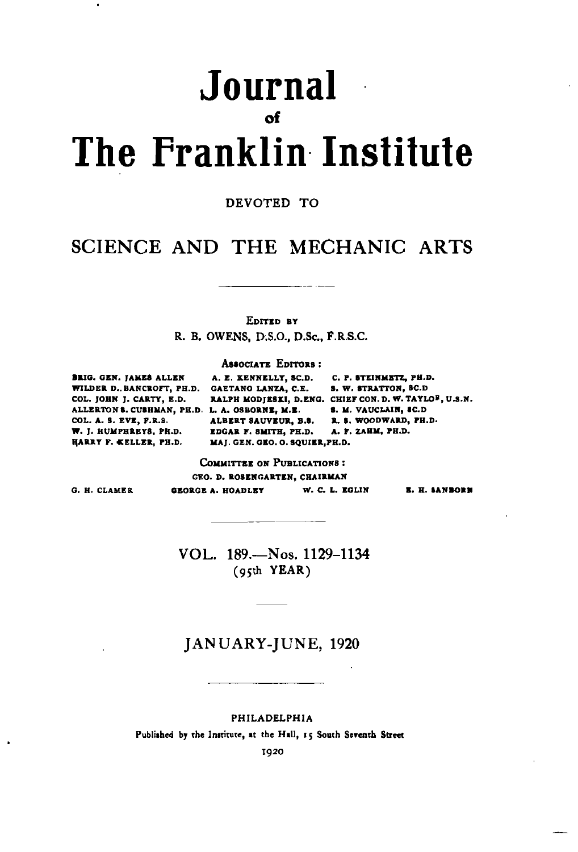# Journal of The Franklin Institute

# DEVOTED TO

# SCIENCE AND THE MECHANIC ARTS

EDITED BY R. B. OWENS, D.S.O., D.Sc., F.R.S.C.

ASSOCIATE EDITORS:

**BRIG. GEN. JAMES ALLEN** COL. JOHN J. CARTY, E.D. COL. A. S. EVE, F.R.S. W. J. HUMPHREYS, PH.D. HARRY F. KELLER, PH.D.

A. E. KENNELLY, SC.D. C. P. STEINMETZ, PH.D. WILDER D., BANCROFT, PH.D. GAETANO LANZA, C.E. S. W. STRATTON, SC.D RALPH MODJESKI, D.ENG. CHIEF CON. D. W. TAYLOF, U.S.N. ALLERTON S. CUSHMAN, PH.D. L. A. OSBORNE, M.E. S. M. VAUCLAIN, SC.D ALBERT SAUVEUR, B.S. R. S. WOODWARD, PH.D.<br>A. F. ZAHM, PH.D. EDGAR F. SMITH, PH.D. MAJ. GEN. GEO. O. SQUIER, PH.D.

COMMITTEE ON PUBLICATIONS:

G. H. CLAMER

 $\ddot{\phantom{a}}$ 

GEO. D. ROSENGARTEN, CHAIRMAN **GEORGE A. HOADLEY** W. C. L. EGLIN

E. H. SANBORN

VOL. 189.-Nos. 1129-1134 (95th YEAR)

# JANUARY-JUNE, 1920

PHILADELPHIA

Published by the Institute, at the Hall, 15 South Seventh Street

1920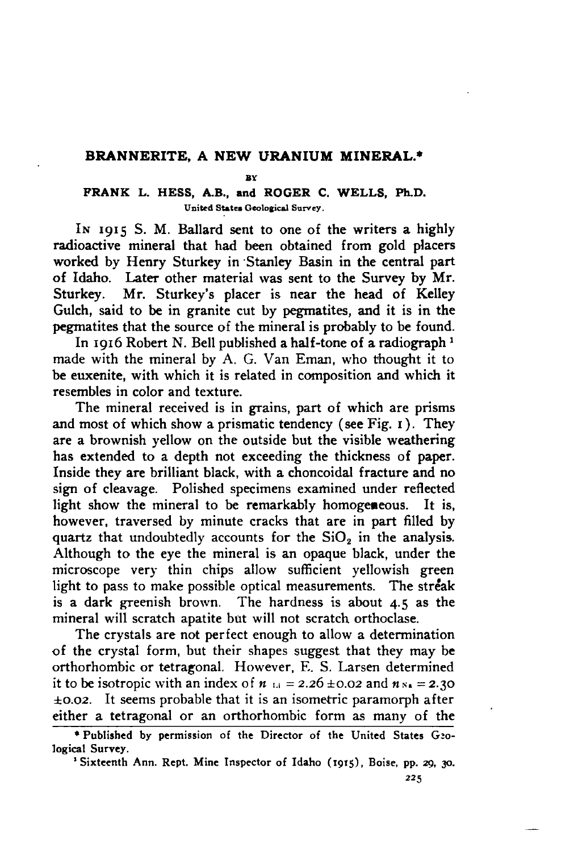# BRANNERITE, A NEW URANIUM MINERAL.·

BY

# FRANK L. HESS, A.B., and ROGER C. WELLS, Ph.D. United States Geological Survey.

IN 1915 S. M. Ballard sent to one of the writers a highly radioactive mineral that had been obtained from gold placers worked by Henry Sturkey in 'Stanley Basin in the central part of Idaho. Later other material was sent to the Survey by Mr. Sturkey. Mr. Sturkey's placer is near the head of Kelley Gulch, said to be in granite cut by pegmatites, and it is in the pegmatites that the source of the mineral is probably to be found.

In 1916 Robert N. Bell published a half-tone of a radiograph<sup>1</sup> made with the mineral by A. G. Van Eman, who thought it to be euxenite, with which it is related in composition and which it resembles in color and texture.

The mineral received is in grains, part of which are prisms and most of which show a prismatic tendency (see Fig. I). They are a brownish yellow on the outside but the visible weathering has extended to a depth not exceeding the thickness of paper. Inside they are brilliant black, with a choncoidal fracture and no sign of cleavage. Polished specimens examined under reflected light show the mineral to be remarkably homogeaeous. It is, however, traversed by minute cracks that are in part filled by quartz that undoubtedly accounts for the SiO<sub>2</sub> in the analysis. Although to the eye the mineral is an opaque black, under the microscope very thin chips allow sufficient yellowish green light to pass to make possible optical measurements. The streak is a dark greenish brown. The hardness is about 4.5 as the mineral will scratch apatite but will not scratch orthoclase.

The crystals are not perfect enough to allow a determination of the crystal form, but their shapes suggest that they may be orthorhombic or tetragonal. However, E. S. Larsen determined it to be isotropic with an index of  $n_{1.1} = 2.26 \pm 0.02$  and  $n_{2.1} = 2.30$ ±0.02. It seems probable that it is an isometric paramorph after either a tetragonal or an orthorhombic form as many of the

<sup>1</sup> Sixteenth Ann. Rept. Mine Inspector of Idaho (1915), Boise, pp. 29, 30.

<sup>\*</sup> Published by permission of the Director of the United States G20logical Survey.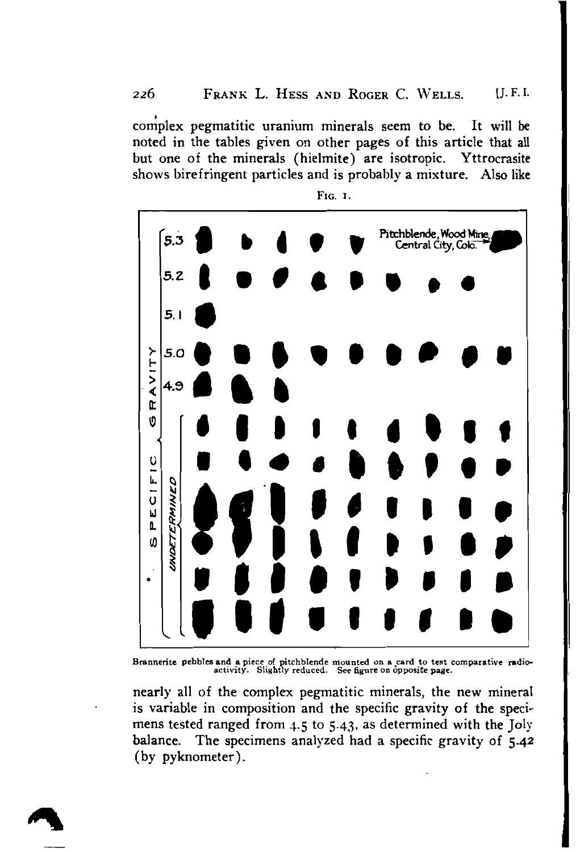complex pegmatitic uranium minerals seem to be. It will be noted in the tables given on other pages of this article that all but one of the minerals (hielmite) are isotropic. Yttrocrasite shows birefringent particles and is probably a mixture. Also like



FIG. J.

Brannerite pebbles and a piece of pitchblende mounted on a card to test comparative radio-<br>activity. Slightly reduced. See figure on opposite page.

nearly all of the complex pegmatitic minerals, the new mineral is variable in composition and the specific gravity of the specimens tested ranged from 4.5 to 5-43, as determined with the Joly balance. The specimens analyzed had a specific gravity of 5.42 (by pyknometer).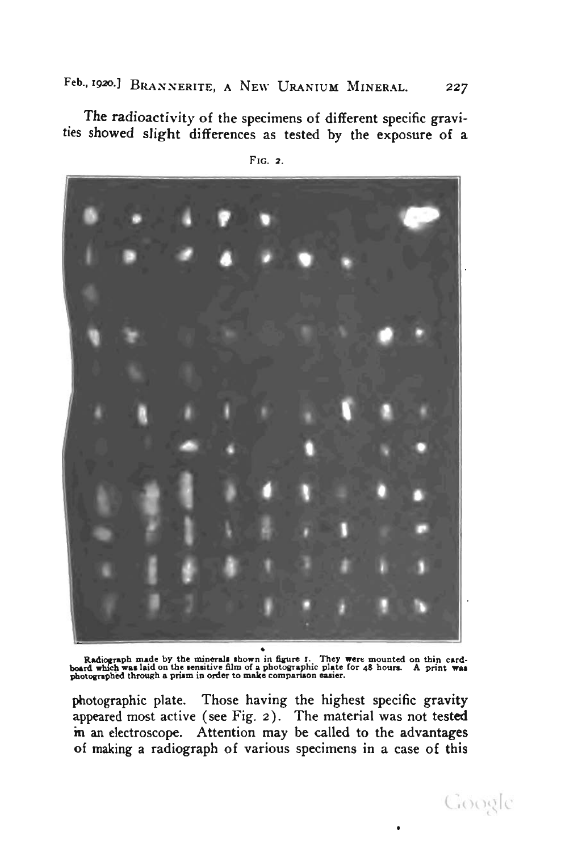The radioactivity of the specimens of different specific gravities showed slight differences as tested by the exposure of a



FIG. 2.

Radiograph made by the minerals shown in figure 1. They were mounted on thin card-<br>board which was laid on the sensitive film of a photographic plate for 48 hours. A print was<br>photographed through a prism in order to make

photographic plate. Those having the highest specific gravity appeared most active (see Fig. 2). The material was not tested in an electroscope. Attention may be called to the advantages of making a radiograph of various specimens in a case of this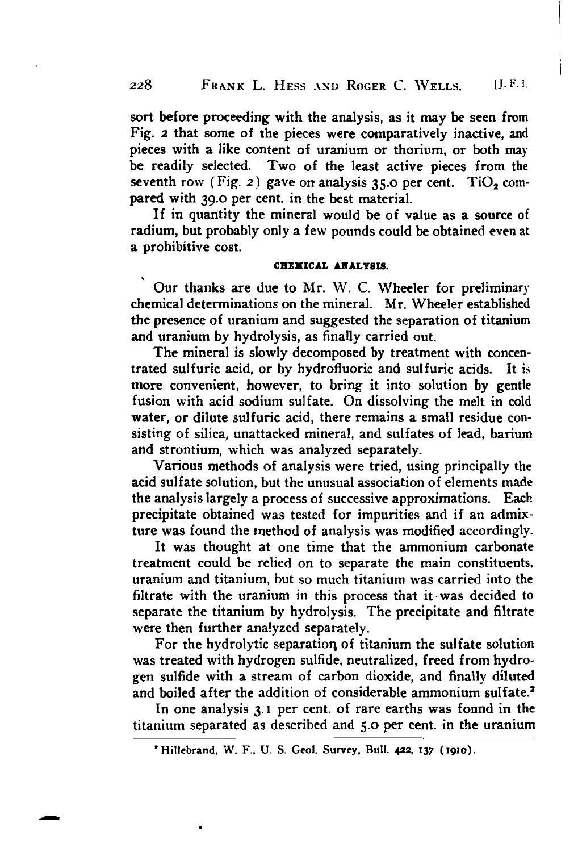sort before proceeding with the analysis, as it may be seen from Fig. 2 that some of the pieces were comparatively inactive, and pieces with a like content of uranium or thorium. or both may be readily selected. Two of the least active pieces from the seventh row (Fig. 2) gave on analysis 35.0 per cent.  $TiO<sub>2</sub>$  compared with 39.0 per cent. in the best material.

If in quantity the mineral would be of value as a source of radium, but probably only a few pounds could be obtained even at a prohibitive cost.

#### CHEMICAL ANALYSIS.

Our thanks are due to Mr. W. C. Wheeler for preliminary chemical determinations on the mineral. Mr. Wheeler established the presence of uranium and suggested the separation of titanium and uranium by hydrolysis, as finally carried out.

The mineral is slowly decomposed by treatment with concentrated sulfuric acid, or by hydrofluoric and sulfuric acids. It is more convenient, however, to bring it into solution by gentle fusion with acid sodium sulfate. On dissolving the melt in cold water, or dilute sulfuric acid, there remains a small residue consisting of silica, unattacked mineral, and sulfates of lead, barium and strontium, which was analyzed separately.

Various methods of analysis were tried, using principally the acid sulfate solution, but the unusual association of elements made the analysis largely a process of successive approximations. Each precipitate obtained was tested for impurities and if an admixture was found the method of analysis was modified accordingly.

It was thought at one time that the ammonium carbonate treatment could be relied on to separate the main constituents, uranium and titanium, but so much titanium was carried into the filtrate with the uranium in this process that it· was decided to separate the titanium by hydrolysis. The precipitate and filtrate were then further analyzed separately.

For the hydrolytic separation of titanium the sulfate solution was treated with hydrogen sulfide, neutralized, freed from hydrogen sulfide with a stream of carbon dioxide, and finally diluted and boiled after the addition of considerable ammonium sulfate.<sup>2</sup>

In one analysis 3. <sup>I</sup> per cent. of rare earths was found in the titanium separated as described and 5.0 per cent. in the uranium

-

<sup>•</sup> Hillebrand. W. F.. U. S. Geol. Survey. Bull. 422, 137 (1910).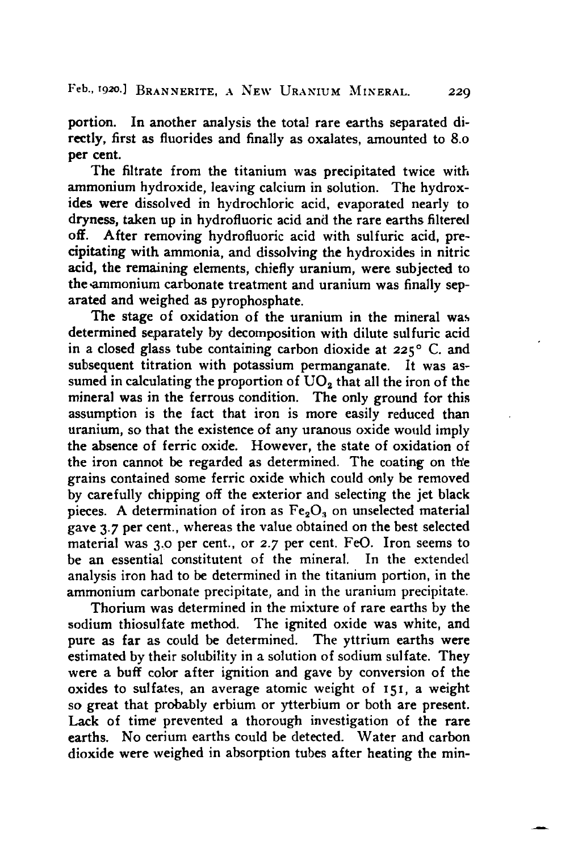portion. In another analysis the total rare earths separated directly, first as fluorides and finally as oxalates, amounted to 8.0 per cent.

The filtrate from the titanium was precipitated twice with ammonium hydroxide, leaving calcium in solution. The hydroxides were dissolved in hydrochloric acid, evaporated nearly to dryness, taken up in hydrofluoric acid and the rare earths filtered off. After removing hydrofluoric acid with sulfuric acid, precipitating with ammonia, and dissolving the hydroxides in nitric acid, the remaining elements, chiefly uranium, were subjected to the ammonium carbonate treatment and uranium was finally separated and weighed as pyrophosphate.

The stage of oxidation of the uranium in the mineral was determined separately by decomposition with dilute sulfuric acid in a closed glass tube containing carbon dioxide at  $225^{\circ}$  C. and subsequent titration with potassium permanganate. It was assumed in calculating the proportion of  $UO<sub>2</sub>$  that all the iron of the mineral was in the ferrous condition. The only ground for this assumption is the fact that iron is more easily reduced than uranium, so that the existence of any uranous oxide would imply the absence of ferric oxide. However, the state of oxidation of the iron cannot be regarded as determined. The coating on the grains contained some ferric oxide which could only be removed by carefully chipping off the exterior and selecting the jet black pieces. A determination of iron as  $Fe<sub>2</sub>O<sub>3</sub>$  on unselected material gave 3.7 per cent., whereas the value obtained on the best selected material was 3.0 per cent., or 2.7 per cent. FeO. Iron seems to be an essential constitutent of the mineral. In the extended analysis iron had to be determined in the titanium portion, in the ammonium carbonate precipitate, and in the uranium precipitate.

Thorium was determined in the mixture of rare earths by the sodium thiosulfate method. The ignited oxide was white, and pure as far as could be determined. The yttrium earths were estimated by their solubility in a solution of sodium sulfate. They were a buff color after ignition and gave by conversion of the oxides to sulfates, an average atomic weight of 151, a weight so great that probably erbium or ytterbium or both are present. Lack of time prevented a thorough investigation of the rare earths. No cerium earths could be detected. Water and carbon dioxide were weighed in absorption tubes after heating the min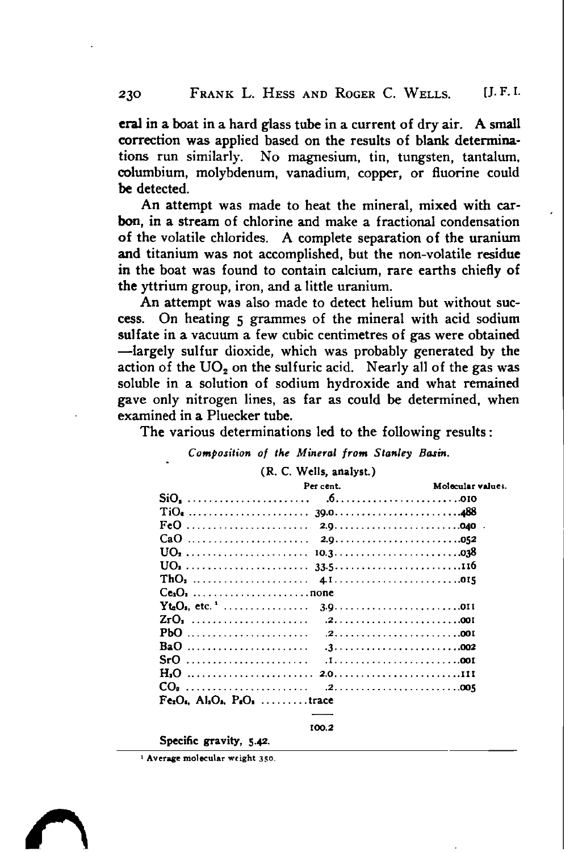**eral** in a boat in a hard glass tube in a current of dry air. A small correction was applied based on the results of blank detenninations run similarly. No magnesium, tin, tungsten, tantalum, columbium, molybdenum, vanadium, copper, or fluorine could be detected.

An attempt was made to heat the mineral, mixed with carbon, in a stream of chlorine and make a fractional condensation of the volatile chlorides. A complete separation of the uranium and titanium was not accomplished, but the non-volatile residue in the boat was found to contain calcium, rare earths chiefly of the yttrium group, iron, and a little uranium.

An attempt was also made to detect helium but without success. On heating 5 grammes of the mineral with acid sodium sulfate in a vacuum a few cubic centimetres of gas were obtained -largely sulfur dioxide, which was probably generated by the action of the  $UO<sub>2</sub>$  on the sulfuric acid. Nearly all of the gas was soluble in a solution of sodium hydroxide and what remained gave only nitrogen lines, as far as could be determined, when examined in a Pluecker tube.

The various determinations led to the following results:

*Composition of the Mineral from Stanley Basin.*

|  |  | (R. C. Wells, analyst.) |
|--|--|-------------------------|
|--|--|-------------------------|

|                             | Per cent. | Molecular values. |
|-----------------------------|-----------|-------------------|
|                             |           |                   |
|                             |           |                   |
|                             |           |                   |
|                             |           |                   |
|                             |           |                   |
|                             |           |                   |
|                             |           |                   |
|                             |           |                   |
|                             |           |                   |
|                             |           |                   |
|                             |           |                   |
|                             |           |                   |
|                             |           |                   |
|                             |           |                   |
|                             |           |                   |
| $Fe2On$ . Al $_2On$ . trace |           |                   |
|                             |           |                   |
|                             | 100.2     |                   |

#### Specific gravity, 5.42.

<sup>1</sup> Average molecular weight 350.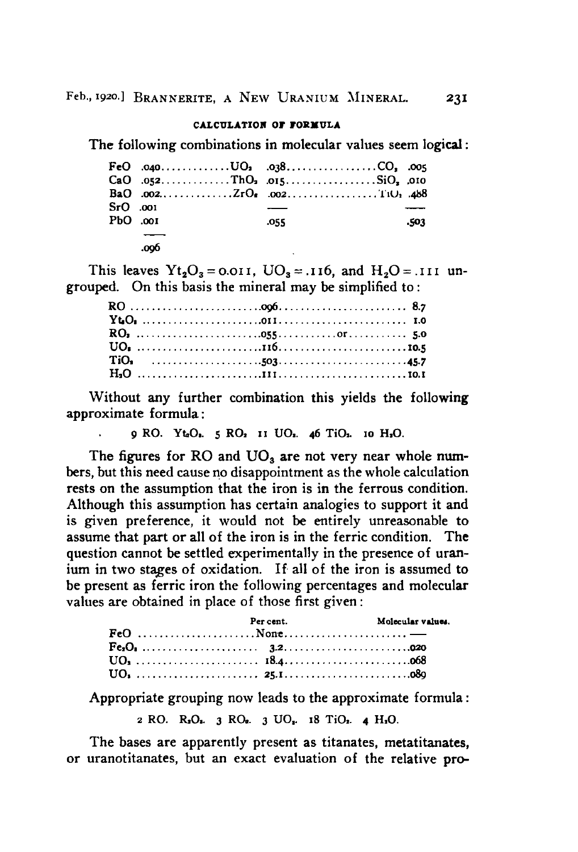## CALCULATION OF FORMULA

The following combinations in molecular values seem logical :

|          |          | FeO .040UO <sub>2</sub> .038CO <sub>3</sub> .005 |      |
|----------|----------|--------------------------------------------------|------|
|          |          | CaO .052ThO <sub>2</sub> .015SiO, .010           |      |
|          |          |                                                  |      |
| SrO .ooi |          |                                                  |      |
|          | PbO .oo1 | .055                                             | .503 |
|          |          |                                                  |      |
|          | .006     |                                                  |      |

This leaves  $Yt_2O_3 = 0.011$ ,  $UO_3 = .116$ , and  $H_2O = .111$  ungrouped. On this basis the mineral may be simplified to :

Without any further combination this yields the following approximate formula:

9 RO. Yt.O.. 5 RO. 11 UO.. 46 TiO.. 10 H.O.

The figures for  $RO$  and  $UO<sub>3</sub>$  are not very near whole numbers, but this need cause no disappointment as the whole calculation rests on the assumption that the iron is in the ferrous condition. Although this assumption has certain analogies to support it and is given preference, it would not be entirely unreasonable to assume that part or all of the iron is in the ferric condition. The question cannot be settled experimentally in the presence of uranium in two stages of oxidation. If all of the iron is assumed to be present as ferric iron the following percentages and molecular values are obtained in place of those first given:

| Per cent. | Molecular values. |
|-----------|-------------------|
|           |                   |
|           |                   |
|           |                   |
|           |                   |

Appropriate grouping now leads to the approximate formula:

2 RO. R<sub>2</sub>O<sub>2</sub>. 3 RO<sub>2</sub>. 3 UO<sub>2</sub>. 18 TiO<sub>2</sub>. 4 H<sub>2</sub>O.

The bases are apparently present as titanates, metatitanates, or uranotitanates, but an exact evaluation of the relative pro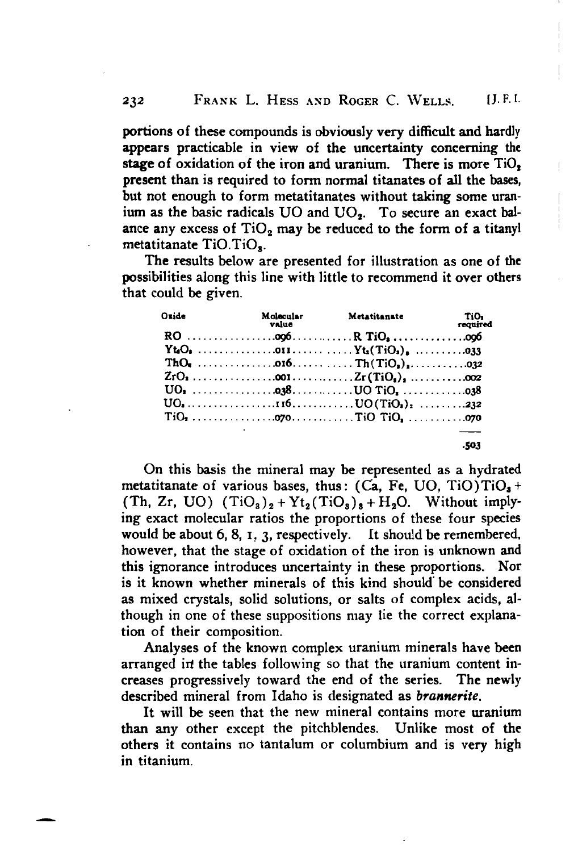portions of these compounds is obviously very difficult and hardly appears practicable in view of the uncertainty concerning the stage of oxidation of the iron and uranium. There is more  $TiO<sub>s</sub>$ present than is required to form normal titanates of all the bases, but not enough to form metatitanates without taking some uranium as the basic radicals UO and UO. To secure an exact balance any excess of TiO<sub>2</sub> may be reduced to the form of a titanyl metatitanate TiO.TiO.

ţ.

The results below are presented for illustration as one of the possibilities along this line with little to recommend it over others that could be given.

| Oxide | Molecular<br>value | Metatitanate | TiO,<br>required |
|-------|--------------------|--------------|------------------|
|       |                    |              |                  |
|       |                    |              |                  |
|       |                    |              |                  |
|       |                    |              |                  |
|       |                    |              |                  |
|       |                    |              |                  |
|       |                    |              |                  |
|       |                    |              |                  |
|       |                    |              | .503             |

On this basis the mineral may be represented as a hydrated metatitanate of various bases, thus:  $(C_{a}$ , Fe, UO, TiO)TiO<sub>s</sub> + (Th, Zr, UO)  $(TiO_3)_2 + Yt_2(TiO_3)_3 + H_2O$ . Without implying exact molecular ratios the proportions of these four species would be about 6, 8, 1, 3, respectively. It should be remembered, however, that the stage of oxidation of the iron is unknown and this ignorance introduces uncertainty in these proportions. Nor is it known whether minerals of this kind should' be considered as mixed crystals, solid solutions, or salts of complex acids, although in one of these suppositions may lie the correct explanation of their composition.

Analyses of the known complex uranium minerals have been arranged in the tables following so that the uranium content increases progressively toward the end of the series. The newly described mineral from Idaho is designated as *brannerite*.

It will be seen that the new mineral contains more uranium than any other except the pitchblendes. Unlike most of the others it contains no tantalum or columbium and is very high in titanium.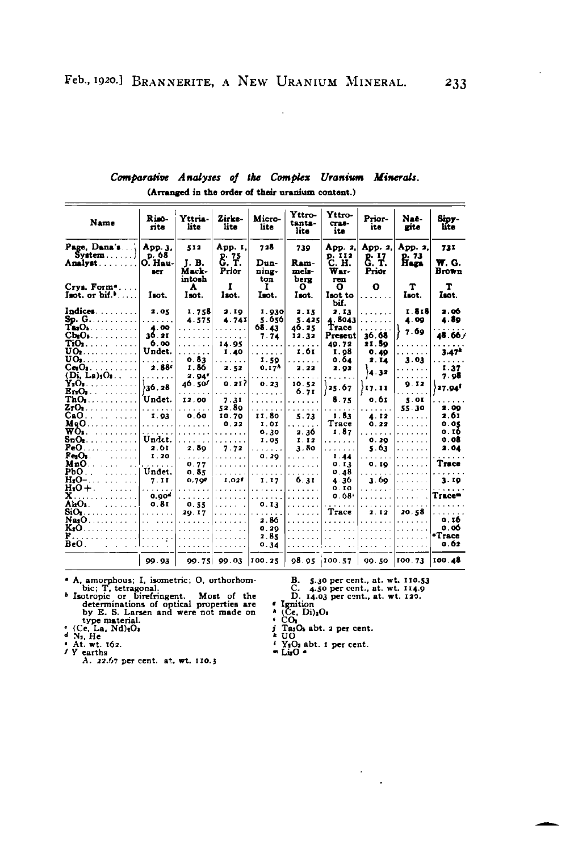| Comparative Analyses of the Complex Uranium Minerals. |                                                   |  |  |  |
|-------------------------------------------------------|---------------------------------------------------|--|--|--|
|                                                       | (Arranged in the order of their uranium content.) |  |  |  |

| <b>Name</b>                                                                                                                                                                                                                                         | Rim-<br>rite            | Yttria-<br>lite          | Zirke-<br>lite        | Micro-<br>lite        | Yttro-<br>tanta-<br>lite       | Yttro-<br>CTR8-<br>ite         | Prior-<br>ite               | Naë-<br>gite          | Siny-<br>lite        |
|-----------------------------------------------------------------------------------------------------------------------------------------------------------------------------------------------------------------------------------------------------|-------------------------|--------------------------|-----------------------|-----------------------|--------------------------------|--------------------------------|-----------------------------|-----------------------|----------------------|
| Page, Dana's [1]                                                                                                                                                                                                                                    | App. 3.                 | 512                      | App. I.               | 728                   | 739                            | App. 2,                        | App. 2,                     | App. 2.               | 731                  |
| $S$ vstem $\ldots$<br>Analyst                                                                                                                                                                                                                       | p. 68<br>0. Hau-<br>ser | J. B.<br>Mack-<br>intosh | 8.75<br>Prior         | Dun-<br>ning-<br>ton  | Ram-<br>mels-<br>berg          | D. II2<br>с. н.<br>War-<br>ren | 8:7.<br>Prior               | P: 73<br>Haga         | <b>W.G.</b><br>Brown |
| Crys. Form<br>$l$ sot, or $\mathrm{bif}$ .                                                                                                                                                                                                          | Isot.                   | - A<br>Isot.             | $\mathbf{I}$<br>Isot. | $\mathbf{I}$<br>Isot. | O.<br>Isot.                    | 0<br>Isot to<br>bif.           | $\Omega$<br>.               | т<br>Isot.            | T<br>Isot.           |
| Indices                                                                                                                                                                                                                                             | 2.05                    | <b>I.758</b>             | <b>3.IQ</b>           | 1.030                 | 2.15                           | 2.13                           | .                           | 1.818                 | 2.06                 |
| $\mathbf{S}_{\mathbf{D}}$ , $\mathbf{G}$ ,<br>$Tan$ $\ldots$ $\ldots$ $\ldots$                                                                                                                                                                      | . 1<br>4.00             | 4.575                    | 4.741                 | 5.656                 | 5.425                          | 4.8043                         | .                           | 4.00                  | 4.80                 |
| $Cb_0, \ldots, \ldots$                                                                                                                                                                                                                              | 36.2I                   | . 1<br>.                 |                       | 68.43                 | 46.25<br>12.32                 | Trace<br>Present               | .<br>36.68                  | 7.60                  | 48.66                |
| $\text{TiO}_2$ , , ,                                                                                                                                                                                                                                | 6.00                    | .                        | 14.95                 | 7.74<br>.             | .                              | 49.72                          | 21.50                       | .                     | .                    |
| $\mathbf{U}\mathbf{O}_{\mathbf{z}}$                                                                                                                                                                                                                 | Undet.                  | .                        | 1.40                  | . <b>. .</b>          | 1.61                           | I.98                           | 0.40                        | .                     | $3.47*$              |
|                                                                                                                                                                                                                                                     | .                       | 0.83                     | .                     | 1.50                  | .                              | 0.64                           | 2.14                        | 3.03                  | .                    |
| $CerO1, \ldots, \ldots$                                                                                                                                                                                                                             | 2.88                    | - 1.86                   | 2.52                  | 0.17 <sup>A</sup>     | 2.22                           | 2.02                           |                             | .                     | 1.37                 |
| $(Di. La)1O1$ .                                                                                                                                                                                                                                     | .                       | <b>2.04'</b>             | .                     | 1.1.1.1.1.1           |                                |                                | 4.32                        | .                     | 7.98                 |
| $Y_2O_1$                                                                                                                                                                                                                                            | 36.28                   | 46.50                    | 0.21?                 | 0.23                  | 10.52                          | 25.67                          | 17.11                       | 0.12                  | 27.04                |
| $\text{End}_{1}$ .                                                                                                                                                                                                                                  | $\int$ Undet.           |                          | .                     | .                     | 6.71                           |                                |                             | .                     |                      |
| $ThO1, \ldots, \ldots$                                                                                                                                                                                                                              |                         | 12.00                    | 7.31                  | .                     | .                              | 8.75                           | 0.61                        | <b>S.OL</b>           | . <i>.</i>           |
| $ZrO2$                                                                                                                                                                                                                                              | . 1                     | . <i>. .</i>             | 52.89                 | . 1                   |                                | .                              | .                           | 55.30                 | 2.00                 |
| $CaO$                                                                                                                                                                                                                                               | <b>I.93</b>             | <b>0.60</b>              | 10.79                 | II.80                 | 5.73                           | 1.83                           | 4.12                        | 1.1.1.1.1.1           | 2.61                 |
| $MeO$                                                                                                                                                                                                                                               |                         | 0.22 0.22                |                       | I.OI                  | .                              | Trace                          | 0.22                        | .                     | 0.05                 |
| $WO_8$ .<br>$SnO_1$ .                                                                                                                                                                                                                               | Undet.                  | . <b>. .</b>             |                       | 0.30                  | 2.36<br>1.12                   | 1.87<br>.                      | .<br>0.20                   | .                     | 0.IÓ<br>0.08         |
| $FeO$                                                                                                                                                                                                                                               | 2.61                    | .<br>2.80                | 7.72                  | 1.05                  | 3.80                           |                                | 5.63                        | .                     | 2.04                 |
| $F = O_1$ .<br><u>in the state of the state of the state of the state of the state of the state of the state of the state of the state of the state of the state of the state of the state of the state of the state of the state of the state </u> | 1.20                    | .                        | .                     | 1.1.1.1.1.1<br>0.20   | <b><i><u>ALLAS ALL</u></i></b> | .<br>1.44                      | .                           | .<br>.                | .                    |
| MnO                                                                                                                                                                                                                                                 | .                       | 0.77                     |                       |                       |                                | 0.13                           | 0.10                        | .                     | Trace                |
|                                                                                                                                                                                                                                                     | Undet.                  | 0.85                     |                       |                       |                                | 0.48                           | .                           | . <i>.</i> 1 <b>.</b> |                      |
| $H_2O$ – $\ldots$ , $\ldots$ , $\ldots$                                                                                                                                                                                                             | 7.11                    | $0.70^{g}$               | 1.02                  | 1.17                  | 6.31                           | 4.36                           | 3.60                        | .                     | 3.10                 |
| $H_2O + \ldots$                                                                                                                                                                                                                                     | . 1                     | .                        | .                     | . 1                   |                                | 0.10                           | .                           | 1.1.1.1.1.1           | .                    |
| <b>x</b> 1                                                                                                                                                                                                                                          | — o.oo4 ∣               |                          |                       |                       |                                | 0.68                           | .                           | .                     | Trace=               |
| $AhO1$ , $\ldots$                                                                                                                                                                                                                                   | 0.81                    | 0.55                     | .                     |                       | $0.13$                         | .                              |                             | . 1                   | .                    |
| $SiO1, \ldots, \ldots, \ldots$                                                                                                                                                                                                                      | $\ldots$ 20.17          |                          | المتمددا              | .                     |                                | Trace                          | 2.12                        | -20.58                | .                    |
|                                                                                                                                                                                                                                                     |                         |                          |                       | 2.86                  | .                              |                                |                             |                       | 0.16                 |
| <b>K.O</b> .                                                                                                                                                                                                                                        | . 1                     |                          | . 1                   | 0.20                  | . 1                            | <u>. 1</u>                     |                             | 1.1.1.1.1.1           | 0.06                 |
|                                                                                                                                                                                                                                                     |                         |                          |                       | 2.85                  |                                | . 1                            |                             | .                     | -Trace               |
| BeO.<br>a na matalaga a s                                                                                                                                                                                                                           |                         | 1. 1.                    |                       | 0.34                  |                                | . !                            | المعامل والمعاملية والمحافظ |                       | 0.62                 |
|                                                                                                                                                                                                                                                     | 00.03                   |                          | 99.75 99.03 100.25    |                       |                                | 08.05 100.57                   | 99.50                       | $100.73$ $100.48$     |                      |

B. 5.30 per cent., at. wt. 110.53<br>
C. 4.50 per cent., at. wt. 114.9<br>
D. 14.03 per cent., at. wt. 129.<br>
P. Ignition<br>
\* (Cc, Di)<sub>1</sub>O<sub>1</sub><br>
\* UO<sub>1</sub><br>
\* UO<sub>1</sub><br>
\* UO<sub>1</sub><br>
\* UO<sub>1</sub><br>
\* UO<sub>1</sub><br>
\* UO<sub>1</sub><br>
\* V<sub>1</sub>O<sub>1</sub> abt. 1 per cent.<br>
\* V<sub></sub>

 $\cdot$  $\cdot$ 

A, amorphous; I, isometric; O, orthorhom-<br>bic; T, tetragonal.<br>b Isotropic or birefringent. Most of the<br>determinations of optical properties are<br>by E. S. Larsen and were not made on<br>type masterial.<br>e (Ce, La, Nd)<sub>1</sub>O<sub>1</sub><br>a

- 
- 
- -

- 
- 
-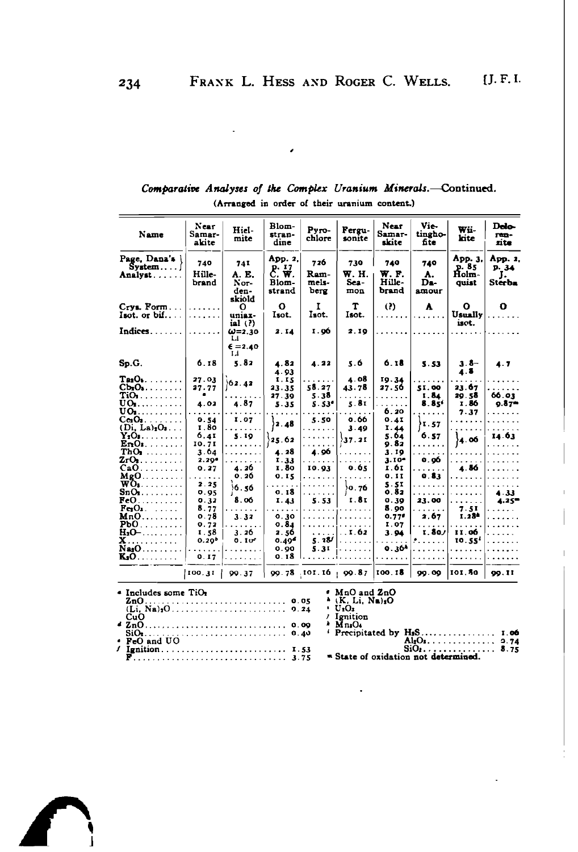$\overline{a}$ 

|  | SS AND KOGER U. WI |  |
|--|--------------------|--|
|  |                    |  |
|  |                    |  |

 $[J, F, I,$ 

| Name                                                   | Near<br>Samar-<br>akite | Hiel-<br>mite                                       | Blom-<br>stran-<br>dine | Pyro-<br>chlore      | Fergu-<br>sonite                                        | Near<br>Samar-<br>skite | Vie-<br>tingho-<br>fite | Wii-<br>kite              | Delo-<br>ran-<br>zite  |
|--------------------------------------------------------|-------------------------|-----------------------------------------------------|-------------------------|----------------------|---------------------------------------------------------|-------------------------|-------------------------|---------------------------|------------------------|
| Page, Dana's  <br>System<br>Analyst                    | 740<br>Hille-           | 741<br>A. E.                                        | App. 2.<br>8.47         | 726<br>Ram-          | 730<br>W.H.                                             | 740<br><b>W.F.</b>      | 740<br>А.               | App. 3.<br>p. 85<br>Holm- | App. 2.<br>p. 34<br>Ь. |
|                                                        | brand                   | Nor-<br>den-<br>skiold                              | Blom-<br>strand         | mels-<br>berg        | Sea-<br>mon                                             | Hille-<br>brand         | Ds-<br>amour            | quist                     | <b>Sterba</b>          |
| Crvs. Form<br>$Isoft$ or $bif$                         | .<br>.                  | o<br>uniax-                                         | O<br>Isot.              | T.<br>Isot.          | т<br>Isot.                                              | (?)<br>.                | A                       | ο<br>Usually              | о                      |
| Indices                                                |                         | $i$ al $(?)$<br>$\omega = 2.30$<br>LI<br>$6 = 2.40$ | 2. IA                   | 1.06                 | 2.10                                                    |                         |                         | isot.                     |                        |
| Sp.G.                                                  | 6.18                    | LI<br>5.82                                          | 4.82<br>4.93            | 4.22                 | 5.6                                                     | 6.18                    | 5.53                    | $3.8-$<br>4.8             | 4. 7                   |
| $Ta_3O_3$                                              | 27.03                   | $\{62.42$                                           | 1.IS                    | .                    | 4.08                                                    | 19.34                   |                         | $\sim$ $\sim$ $\sim$      |                        |
| $Cb_2O_3$                                              | 27.77                   |                                                     | 23.35                   | 58.27                | 43.78                                                   | 27.56                   | 51.00                   | 23.67                     | والمتوارث والمناور     |
| $TiO_1$                                                |                         |                                                     | 27.39                   | 5.38                 | .                                                       | .                       | 1.84                    | 20.56                     | 66.03                  |
| $UO_1$                                                 | 4.02                    | 4.87                                                | 5.35                    | $5 - 53^{\circ}$     | 5.81                                                    | .                       | 8.85*                   | 1.86                      | $0.87 -$               |
| $UO_1$                                                 |                         | I.07                                                |                         |                      |                                                         | 6.20                    | .                       | 7.37                      | .                      |
| $C \oplus Q_1$<br>(Di, La) <sub>2</sub> O <sub>3</sub> | 0.54<br>I.80            |                                                     | 2.48                    | 5.50                 | 0.66                                                    | 0.4I<br>1.44            | }T. 57                  | $\cdots$                  |                        |
| $Y_2O_2$                                               | 0.4I                    | .<br>5.19                                           |                         |                      | 3.49                                                    | 5.64                    | 6.57                    |                           | 14.03                  |
| $EnO1, \ldots, \ldots$                                 | 10.71                   | .                                                   | 25.62                   |                      | 37.31                                                   | 9.82                    | .                       | }4.06∶                    | .                      |
| $ThO_2$                                                | 3.04                    | .                                                   | 4.28                    | 4.06                 |                                                         | 3.10                    |                         |                           |                        |
| $ZrO_2$                                                | $2.29^{\circ}$          | .                                                   | 1.33                    | .                    |                                                         | 3.10*                   | 0.06                    | .                         |                        |
| $CaO.$                                                 | 0.27                    | 4.26                                                | 1.80                    | 10.03                | 0.65                                                    | 1.61                    | .                       | 4.56                      | .                      |
| $M_R$ O.                                               | .                       | 0.26                                                | 0.IS                    | .                    | .                                                       | 0.II                    | 0.83                    | .                         | .                      |
| $WO_1$                                                 | 2.25                    | 6.56                                                | 1.1.1.1.1               |                      | ›o. ⁊6                                                  | 5.51                    | .                       | .                         | .                      |
| $SnO1, \ldots$                                         | 0.05                    |                                                     | 0.18                    |                      |                                                         | 0.82                    | $\cdots$                | .                         | 4.33                   |
| $FeO$                                                  | 0.32                    | 8.06                                                | 1.43                    | 5.53                 | I. 81                                                   | 0.39                    | 23.00                   | .                         | $4.25$ <sup>-</sup>    |
| $FeO4$                                                 | 8.77                    | .                                                   | .                       |                      |                                                         | 8.90                    | .                       | 7.51                      | .                      |
| $Mn0$                                                  | 0.78                    | 3.37                                                | 0.30                    | . 1                  | .                                                       | 0.77''                  | 2.67                    | 1.28*                     | .                      |
| Pb0                                                    | 0.72                    | .                                                   | 0.84                    | .                    | .<br>.1.62                                              | I.O7                    | .                       | .                         |                        |
| $H_2O$ - $\ldots$ $\ldots$ .<br>$\mathbf{x}$           | I 58<br>0.20°           | 3.26<br>0.10 <sup>c</sup>                           | 2.56                    | . 1<br>5.38'         | and the company                                         | 3.04                    | 1.80/<br>.              | II. 06<br>10.55*          | .<br>$\sim$            |
| $Na2O$                                                 | .                       |                                                     | $0.49^4$<br>0.00        | 5.31                 | .                                                       | .<br>$0.36*$            | .                       | .                         |                        |
| $K_1O$                                                 | 0.17                    |                                                     | 0.18                    | . 1                  |                                                         | .                       | .                       |                           |                        |
|                                                        |                         |                                                     |                         |                      |                                                         |                         |                         |                           |                        |
|                                                        | 100.31                  | 99.37                                               |                         | 99.78 TOT.10   99.87 |                                                         | 100.18                  | 99.09                   | 101.50                    | 99.II                  |
| <b>* Includes some TiO</b><br><b>r</b>                 |                         |                                                     |                         |                      | MnO and ZnO<br>$*(K, Li, Na)2O$<br>. U.O.<br>, Tamitiam |                         |                         |                           |                        |

Comparative Analyses of the Complex Uranium Minerals.-Continued. (Arranged in order of their uranium content.)

 $\lambda$ 

ł,

- 
-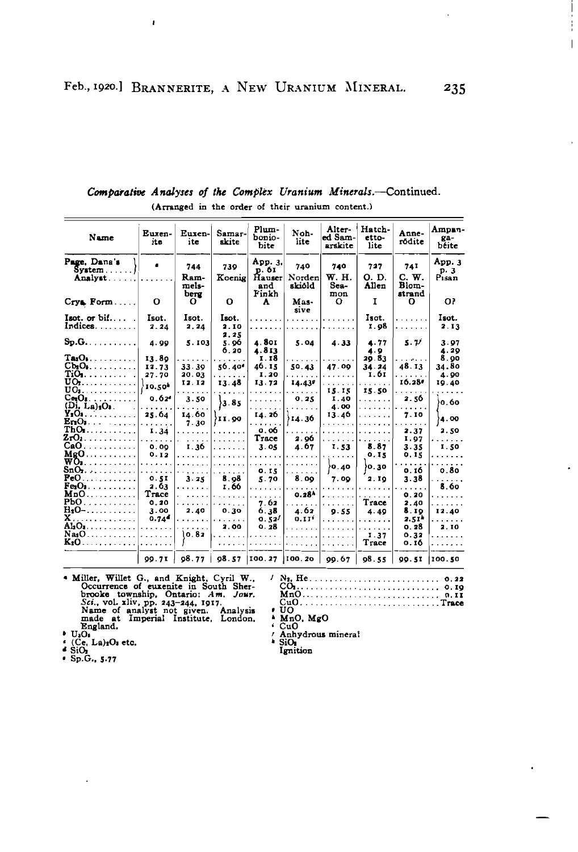$\lambda$ 

| Name                                                                                                                                                                                                                                                                                                                                                                                                                                                                                         | Euxen-<br>ite                       | Euxen-<br>ite                 | Samar-<br>skite                             | Plum-<br>bonio-<br>bite                    | Noh-<br>lite                   | Alter-<br>ed Sam-<br>arskite | Hatch-<br>etto-<br>lite                  | Anne-<br>ródite                 | Ampan-<br>$ga-$<br>béite |
|----------------------------------------------------------------------------------------------------------------------------------------------------------------------------------------------------------------------------------------------------------------------------------------------------------------------------------------------------------------------------------------------------------------------------------------------------------------------------------------------|-------------------------------------|-------------------------------|---------------------------------------------|--------------------------------------------|--------------------------------|------------------------------|------------------------------------------|---------------------------------|--------------------------|
| Page, Dana's<br>System<br>Analyst                                                                                                                                                                                                                                                                                                                                                                                                                                                            | $\bullet$                           | 744<br>Ram-<br>mels-<br>berg  | 739<br>Koenig                               | App. 3.<br>p. 61<br>Hauser<br>and<br>Finkh | 740<br>Norden<br>skiöld        | 740<br>W. H.<br>Sea-<br>mon  | 737<br>0. D.<br>Allen                    | 741<br>C. W.<br>Blom-<br>strand | App. 3<br>p.3<br>Pisan   |
| $Cry$ Form                                                                                                                                                                                                                                                                                                                                                                                                                                                                                   | o                                   | 0                             | O                                           | A                                          | Mas-<br>sive                   | 0                            | I                                        | O                               | O?                       |
| $Isot.$ or $bit.$ $\ldots$ $\ldots$<br>Indices                                                                                                                                                                                                                                                                                                                                                                                                                                               | Isot.<br>2.24                       | Isot.<br>2.24                 | Isot.<br>2.IO<br>2.25                       | .                                          | .                              | .                            | Isot.<br>I. 98                           | .<br>.                          | Isot.<br>2.13            |
| $S_{\mathcal{D}}.G$                                                                                                                                                                                                                                                                                                                                                                                                                                                                          | 4.99                                | 5.103                         | 5.06<br>6.20                                | 4.80I<br>4.813                             | 5.04                           | 4.33                         | 4.77<br>4.9                              | 5.71                            | 3.97<br>4.29             |
| $Ta_3O_6$<br>$Cb_1O_1$<br>$TiO1$                                                                                                                                                                                                                                                                                                                                                                                                                                                             | 13.80<br>12.73<br>27.70             | .<br>33.39<br>20.03           | .<br>56.40°<br>.                            | I.I8<br>46.15<br>1.20                      | 50.43<br>.                     | .<br>47.00<br>.              | 29.83<br>34.24<br>1.61                   | .<br>48.13<br>.                 | 8.90<br>34.80<br>4.90    |
| $\mathbf{U}\mathbf{O}_{\mathbf{2}}$<br>$\mathbf{U}\mathbf{O}_{\mathbf{3}}$ .<br>$CevO: \ldots \ldots \ldots$<br>$(D_i, La)$ <sub>2</sub> $O_i$ .                                                                                                                                                                                                                                                                                                                                             | 10.50<br>0.62 <sup>4</sup><br>.     | 12.12<br>.<br>3.50<br>.       | 13.48<br>3.85                               | 13.72<br>.<br>.                            | 14.43"<br>.<br>0.25<br>.       | .<br>15.15<br>1.40<br>4.00   | .<br>15.50<br>.<br>.                     | 16.280<br>.<br>2.56<br>.        | 19.40<br>.<br>⟩о. бо     |
| $Y_2O_3$<br>$EnO1$<br>$ThO_1$<br>$z_{rO_1}$                                                                                                                                                                                                                                                                                                                                                                                                                                                  | 25.64<br>.<br>1.34                  | 14.60<br>7.30<br>.<br>1.1.1.1 | II.90<br>.                                  | 14.26<br>.<br>0.06<br>Trace                | 14.36<br>.<br>2.06             | 13.46<br>.<br>.<br>.         | .<br>.<br>.                              | 7.IO<br>.<br>2.37<br>I.97       | 4.00<br>2.50             |
| $CaO.$<br>$MgO$<br>$WO_3$                                                                                                                                                                                                                                                                                                                                                                                                                                                                    | .<br>0.00<br>0.12<br>.              | 1.36<br>. 1.<br>.             | .<br>.<br>.                                 | 3.05<br>.<br>.                             | 4.67<br>.<br>.                 | 1.53<br>.<br>}o. 40          | 8.87<br>0.15<br>0.30                     | 3.35<br>0.15<br>.               | .<br>1.50<br>.           |
| $SnO2, \ldots, \ldots$<br>$\mathbf{FeO}$<br>$Fe2O3$<br>MnO                                                                                                                                                                                                                                                                                                                                                                                                                                   | .<br>0.5I<br>2.63<br>Trace          | .<br>3.25<br>.<br>1.1.1.1     | 8.08<br>I.66<br>.                           | 0.15<br>5.70<br>.<br>.                     | .<br>8.00<br>0.28 <sup>A</sup> | 7.09<br>.<br>.               | 2.10<br>.<br>.                           | 0.16<br>3.38<br>.<br>0.20       | 0.80<br>.<br>8.60<br>.   |
| $PbO.$<br>$H_1O- \ldots \ldots \ldots$<br>${\bf x}$ , , , , , , , , , , , , , ,                                                                                                                                                                                                                                                                                                                                                                                                              | 0.20<br>3.00<br>$0.74$ <sup>4</sup> | .<br>2.40<br>.                | . <i>. . .</i> .<br>0.30                    | 7.62<br>6.38<br>$0.52^{f}$                 | .<br>4.62<br>0.11'             | .<br>9.55<br>.               | Trace<br>4.49<br>. . <b>.</b> . <i>.</i> | 2.40<br>8.IO<br>2.51            | .<br>12.40<br>.          |
| Al Os.<br>$N$ as $O$<br><b>K.</b> O.                                                                                                                                                                                                                                                                                                                                                                                                                                                         | .<br>.<br>.                         | . <i>.</i><br>10.82           | 2.00<br>.                                   | 0.28<br>.<br>.                             | .<br>.<br>.                    | .<br>.<br>.                  | .<br>1.37<br>Trace                       | 0.28<br>0.32<br>0.IŐ            | 2.IO<br>.<br>.           |
|                                                                                                                                                                                                                                                                                                                                                                                                                                                                                              | 99.7I                               |                               | $98.77$   $98.57$   100.27   100.20   99.67 |                                            |                                |                              | 98.55                                    | 99.SI                           | 100.50                   |
| . Miller, Willet G., and Knight, Cyril W.,<br>Occurrence of euxenite in South Sher-<br>brooke township, Ontario: Am. Jour.<br>Sci., vol. xliv. pp. 243-244. 1917.<br>$CuO.$ Trace<br>Name of analyst not given. Analysis<br>, UO<br>made at Imperial Institute, London,<br>۰<br>MnO, MgO<br>England.<br>CuO<br>$\cdot$ U <sub>2</sub> O <sub>2</sub><br>Anhydrous mineral<br>Ce, La) <sub>2</sub> O <sub>2</sub> etc.<br>• SiO<br>$\triangle$ SiO <sub>2</sub><br>Ignition<br>$-Sp.G., S.77$ |                                     |                               |                                             |                                            |                                |                              |                                          |                                 |                          |

## Comparative Analyses of the Complex Uranium Minerals.--Continued. (Arranged in the order of their uranium content.)

Miller, Willet G., and Knight, Cyril W.,<br>
Occurrence of euxenite in South Sher-<br>
brooks township, Ontario: Am. Jour.<br>
Sci., vol. zliv, pp. 243-244, 1917.<br>
Name of analyst not given. Analysis<br>
made at Imperial Institute, Lo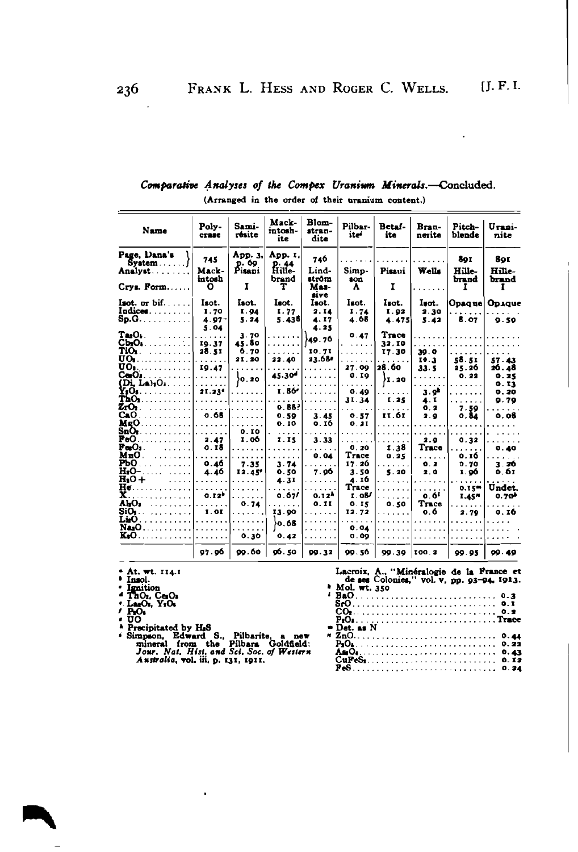## Comparative Analyses of the Compex Uranium Minerals.-Concluded. (Arranged in the order of their uranium content.)

| Name                                                               | Poly-<br><b>CTASC</b>              | Sami-<br>résite            | Mack-<br>intosh-<br>ite             | Blom-<br>stran-<br>dite     | Pilbar-<br>ite        | Betaf-<br>ite                     | Bran-<br>nerite            | Pitch-<br>blende       | Urani-<br>nite              |
|--------------------------------------------------------------------|------------------------------------|----------------------------|-------------------------------------|-----------------------------|-----------------------|-----------------------------------|----------------------------|------------------------|-----------------------------|
| Page, Dana's<br>$S$ vstem<br>Analyst                               | 745<br>Mack-<br>intosh             | App. 3,<br>p. 69<br>Pisani | App. I.<br>P. 44<br>Hille-<br>brand | 746<br>Lind-<br>ström       | Simp-<br>son          | Pisani                            | .<br>Wells                 | 89I<br>Hille-<br>brand | 80I<br>Hille-<br>brand      |
| Crys. Form                                                         | 0                                  | $\mathbf{I}$               | т                                   | Mas-<br>sive                | A                     | 1                                 | .                          | I                      |                             |
| $Isot. or bif. \ldots$<br>Indices.                                 | Isot.<br>I.70                      | Isot.<br>I.94              | Isot.<br>I. 77                      | Isot.<br>2.14               | Isot.<br>1.74         | Isot.<br>I.02                     | Isot.<br>2.30              | Opaq uel               | Opaque                      |
| <b>Sp.G.</b>                                                       | $4.97 -$<br>5.04                   | 5.24                       | 5.436                               | 4.I7<br>4.25                | 4.68                  | 4.475                             | 5.42                       | 8.07                   | 9.59                        |
| Ta:O.<br>.<br>$Cb_0, \ldots, \ldots$                               | l . <i>. .</i> . <b>.</b><br>19.37 | 3.70<br>45.80              | .<br>.                              | 40.76                       | 0.47<br>.             | Trace<br>32.10                    | .<br>.                     | .                      | .                           |
| $TiO1$ .<br>$\mathbf{U}\mathbf{O}_{\mathbf{I}}$                    | <b>28.51</b><br>.                  | 6.70<br>21.20              | .<br>22.40                          | 10.71<br>23.68-             | 1.1.1.1<br>.          | 17.30<br>.                        | 30.0<br>10.3               | .<br>58. SI            | $57 - 43$                   |
| $\mathbf{U}\mathbf{O}_{\mathbf{a}}, \ldots, \ldots, \ldots$<br>CaO | 19.47                              | .                          | 45.30                               | .<br>.                      | 27.00<br>0.10         | 28.60                             | 33.5<br>.                  | 25.26<br>0.22          | 26.48<br>0.25               |
| $(Di, La)2O3$<br>$Y_1O_2$<br>Th $O_2$                              | .<br>$21.23^{\circ}$               | $\overline{0.20}$<br>.     | .<br>I.86                           | .                           | .<br>0.49             | $\overline{\mathbf{1}}$ . 20<br>. | .<br>3. O <sup>b</sup>     | .                      | 0.13<br>0.20                |
| ZrOz.<br>.                                                         | .                                  | .<br>. 1                   | .<br>0.88?                          |                             | 31.34<br>.            | I.25<br>.                         | 4.1<br>0.2                 | .<br>7.59              | 9.79<br>.                   |
| $CaO$<br><b>MgO</b><br>.                                           | 0.68<br>.                          | .<br>1.                    | 0.59<br>0.10                        | 3.45<br>o. 16               | 0.57<br>0.21          | 11.61<br>.                        | 2.9<br>.                   | 0.84<br>$- - - - - -$  | 0.06<br>1.1.1.1             |
| $SnOr$<br>$PoO.$ .<br>.                                            | .<br>2.47                          | 0.10<br>I.OÓ               | .<br>I.IS                           | 3.33                        |                       | .                                 | 2.9                        | 0.32                   | .                           |
| PoO.<br>.<br>$MnO$ .<br>.                                          | 0.18<br>.                          | .<br>.                     | .<br>.                              | .<br>0.04                   | 0.20<br>Trace         | 1.38<br>0.25                      | Trace<br>.                 | .<br>o. 16             | 0.40<br>.                   |
| $PbO$<br>H.O-<br>.<br>$H_1O +$                                     | 0.46<br>4.46                       | 7.35<br>12.45*             | 3.74<br>0.50                        | .<br>7.96                   | 17.26<br>3.50         | .<br>5.20                         | 0.2<br>2.0                 | 0.70<br>I.06           | 3.26<br>0.61                |
| $-1 - 1 - 1$<br>He.<br><b>x</b>                                    | .<br>.<br>$0.12^{b}$               | .<br>.                     | 4.31<br>.<br>0.67                   | .<br>.<br>0.12 <sup>4</sup> | 4.IÓ<br>Trace<br>1.08 | .<br>.                            | .<br>.<br>0.6 <sup>1</sup> | 0.15 <sup>m</sup>      | Undet.<br>0.70 <sup>b</sup> |
| Al-O <sub>1</sub><br>.<br>$SiO1$                                   | .<br>$I.$ OI                       | 0.74<br>.                  | .<br>13.90                          | 0.11<br>.                   | 0.15<br>12.72         | .<br>0.50<br>.                    | Trace<br>o. 6              | 1.45*<br>.<br>2.70     | .<br>0.16                   |
| $\mathbf{LieO}$ .<br>NasO.<br>.                                    |                                    | . 1<br>. 1                 | o. 68                               | .                           | .<br>0.04             | .                                 | the company of the company |                        |                             |
| $K3O$                                                              | .                                  | 0.30                       | 0.42                                | .                           | 0.00                  | .                                 | .                          | .                      | .                           |
|                                                                    | 97.06                              | 00.60                      | 96. 50                              | 99.32                       | 99.56                 | 99.39 TOO.2                       |                            | 99.95                  | 99.49                       |

 $\mathbf{r}$ 

114.1

ecipitated by H<sub>2</sub>S

impson, Edward S., Pilbarite, a new<br>mineral from the Pilbara Goldfield:<br>Josr. Nat. Hist. and Sci. Soc. of Westers<br>Asstralia, vol. iii, p. 131, 1911.

Lacroix, A., "Minéralogie de la France et<br>de ses Colonies," vol. v, pp. 93-94, 1913.<br>Mol. wt. 350  $0.3$ <br>0.1<br>0.2 **BaO**  $5.0$ ...

| Det. as N |  |  |  |  |  |  |  |  |  |  |  |  |  |  |  |  |
|-----------|--|--|--|--|--|--|--|--|--|--|--|--|--|--|--|--|
|           |  |  |  |  |  |  |  |  |  |  |  |  |  |  |  |  |
|           |  |  |  |  |  |  |  |  |  |  |  |  |  |  |  |  |
|           |  |  |  |  |  |  |  |  |  |  |  |  |  |  |  |  |
|           |  |  |  |  |  |  |  |  |  |  |  |  |  |  |  |  |
|           |  |  |  |  |  |  |  |  |  |  |  |  |  |  |  |  |